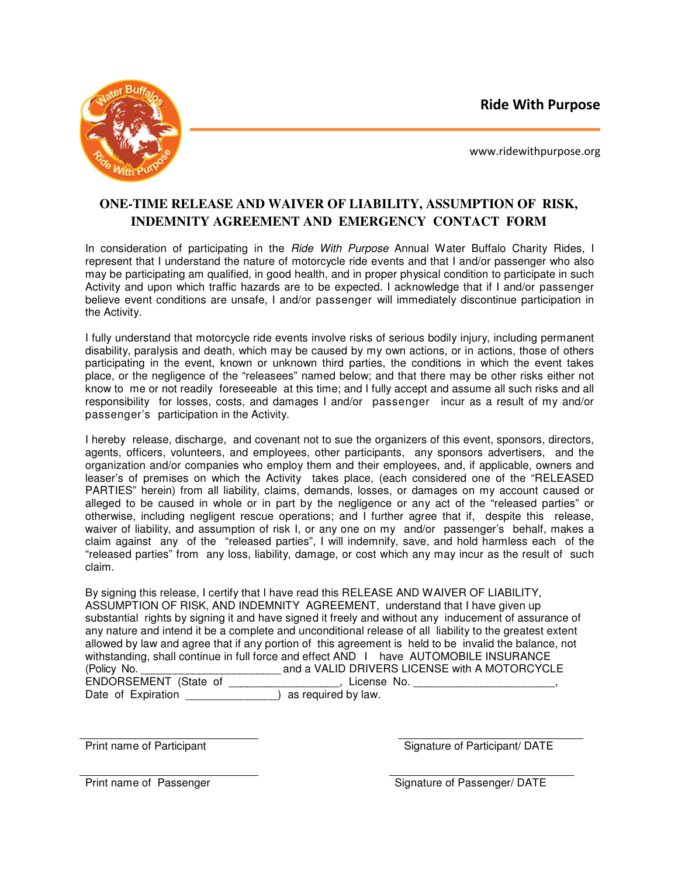Ride With Purpose



www.ridewithpurpose.org

## **ONE-TIME RELEASE AND WAIVER OF LIABILITY, ASSUMPTION OF RISK, INDEMNITY AGREEMENT AND EMERGENCY CONTACT FORM**

In consideration of participating in the Ride With Purpose Annual Water Buffalo Charity Rides, I represent that I understand the nature of motorcycle ride events and that I and/or passenger who also may be participating am qualified, in good health, and in proper physical condition to participate in such Activity and upon which traffic hazards are to be expected. I acknowledge that if I and/or passenger believe event conditions are unsafe, I and/or passenger will immediately discontinue participation in the Activity.

I fully understand that motorcycle ride events involve risks of serious bodily injury, including permanent disability, paralysis and death, which may be caused by my own actions, or in actions, those of others participating in the event, known or unknown third parties, the conditions in which the event takes place, or the negligence of the "releasees" named below; and that there may be other risks either not know to me or not readily foreseeable at this time; and I fully accept and assume all such risks and all responsibility for losses, costs, and damages I and/or passenger incur as a result of my and/or passenger's participation in the Activity.

I hereby release, discharge, and covenant not to sue the organizers of this event, sponsors, directors, agents, officers, volunteers, and employees, other participants, any sponsors advertisers, and the organization and/or companies who employ them and their employees, and, if applicable, owners and leaser's of premises on which the Activity takes place, (each considered one of the "RELEASED PARTIES" herein) from all liability, claims, demands, losses, or damages on my account caused or alleged to be caused in whole or in part by the negligence or any act of the "released parties" or otherwise, including negligent rescue operations; and I further agree that if, despite this release, waiver of liability, and assumption of risk I, or any one on my and/or passenger's behalf, makes a claim against any of the "released parties", I will indemnify, save, and hold harmless each of the "released parties" from any loss, liability, damage, or cost which any may incur as the result of such claim.

By signing this release, I certify that I have read this RELEASE AND WAIVER OF LIABILITY, ASSUMPTION OF RISK, AND INDEMNITY AGREEMENT, understand that I have given up substantial rights by signing it and have signed it freely and without any inducement of assurance of any nature and intend it be a complete and unconditional release of all liability to the greatest extent allowed by law and agree that if any portion of this agreement is held to be invalid the balance, not withstanding, shall continue in full force and effect AND I have AUTOMOBILE INSURANCE (Policy No. \_\_\_\_\_\_\_\_\_\_\_\_\_\_\_\_\_\_\_\_\_\_\_\_ and a VALID DRIVERS LICENSE with A MOTORCYCLE ENDORSEMENT (State of \_\_\_\_\_\_\_\_\_\_\_\_\_\_\_\_\_\_, License No. \_\_\_\_\_\_\_\_\_\_\_\_\_\_\_\_\_\_\_\_\_\_\_\_\_\_ Date of Expiration  $\overline{\hspace{1cm}}$  as required by law.

Print name of Participant **Signature of Participant** Signature of Participant / DATE

Print name of Passenger **Signature of Passenger/ DATE**